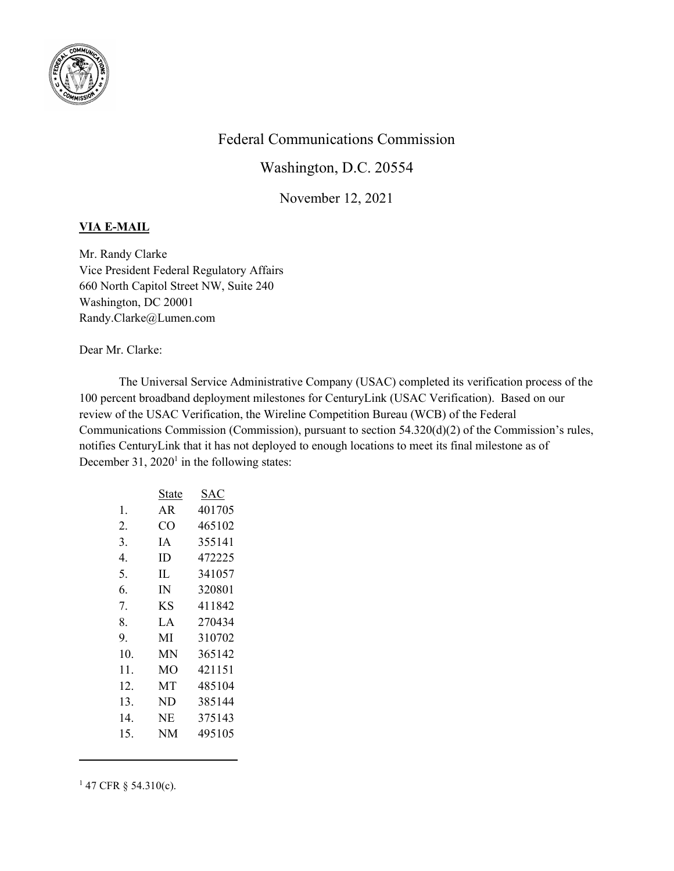

## Federal Communications Commission

Washington, D.C. 20554

November 12, 2021

## VIA E-MAIL

Mr. Randy Clarke Vice President Federal Regulatory Affairs 660 North Capitol Street NW, Suite 240 Washington, DC 20001 Randy.Clarke@Lumen.com

Dear Mr. Clarke:

The Universal Service Administrative Company (USAC) completed its verification process of the 100 percent broadband deployment milestones for CenturyLink (USAC Verification). Based on our review of the USAC Verification, the Wireline Competition Bureau (WCB) of the Federal Communications Commission (Commission), pursuant to section 54.320(d)(2) of the Commission's rules, notifies CenturyLink that it has not deployed to enough locations to meet its final milestone as of December 31,  $2020<sup>1</sup>$  in the following states:

|     | State | SAC    |
|-----|-------|--------|
| 1.  | AR    | 401705 |
| 2.  | CO    | 465102 |
| 3.  | IΑ    | 355141 |
| 4.  | ID    | 472225 |
| 5.  | IL    | 341057 |
| 6.  | IN    | 320801 |
| 7.  | ΚS    | 411842 |
| 8.  | LA    | 270434 |
| 9.  | MI    | 310702 |
| 10. | MN    | 365142 |
| 11. | MО    | 421151 |
| 12. | MT    | 485104 |
| 13. | ND    | 385144 |
| 14. | NE    | 375143 |
| 15. | NM    | 495105 |
|     |       |        |

 $147$  CFR § 54.310(c).